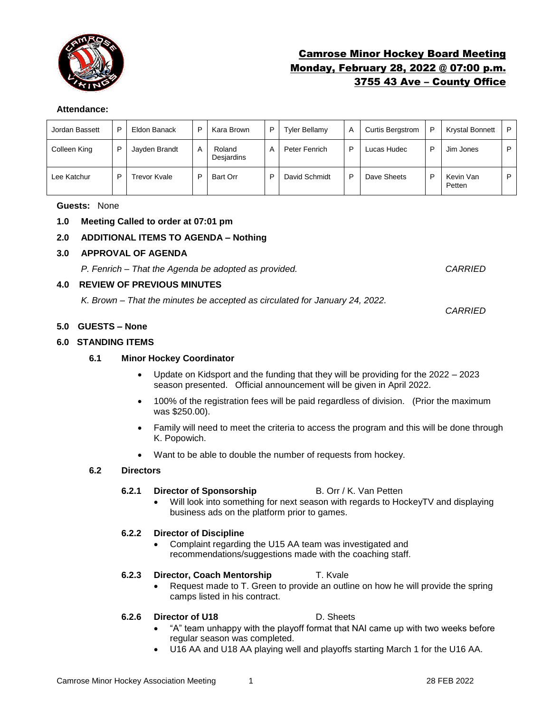

# Camrose Minor Hockey Board Meeting Monday, February 28, 2022 @ 07:00 p.m. 3755 43 Ave – County Office

### **Attendance:**

| Jordan Bassett | D | Eldon Banack  | P | Kara Brown           | P | Tyler Bellamy | A | <b>Curtis Bergstrom</b> | P | <b>Krystal Bonnett</b> | P |
|----------------|---|---------------|---|----------------------|---|---------------|---|-------------------------|---|------------------------|---|
| Colleen King   | D | Jayden Brandt | A | Roland<br>Desjardins | Α | Peter Fenrich | P | Lucas Hudec             | Þ | Jim Jones              | D |
| Lee Katchur    | D | Trevor Kvale  | D | Bart Orr             | P | David Schmidt | P | Dave Sheets             | D | Kevin Van<br>Petten    | D |

### **Guests:** None

### **1.0 Meeting Called to order at 07:01 pm**

# **2.0 ADDITIONAL ITEMS TO AGENDA – Nothing**

### **3.0 APPROVAL OF AGENDA**

*P. Fenrich – That the Agenda be adopted as provided. CARRIED*

*CARRIED*

### **4.0 REVIEW OF PREVIOUS MINUTES**

*K. Brown – That the minutes be accepted as circulated for January 24, 2022.* 

### **5.0 GUESTS – None**

### **6.0 STANDING ITEMS**

### **6.1 Minor Hockey Coordinator**

- Update on Kidsport and the funding that they will be providing for the 2022 2023 season presented. Official announcement will be given in April 2022.
- 100% of the registration fees will be paid regardless of division. (Prior the maximum was \$250.00).
- Family will need to meet the criteria to access the program and this will be done through K. Popowich.
- Want to be able to double the number of requests from hockey.

### **6.2 Directors**

### **6.2.1 Director of Sponsorship** B. Orr / K. Van Petten

• Will look into something for next season with regards to HockeyTV and displaying business ads on the platform prior to games.

### **6.2.2 Director of Discipline**

• Complaint regarding the U15 AA team was investigated and recommendations/suggestions made with the coaching staff.

### **6.2.3 Director, Coach Mentorship T. Kvale**

• Request made to T. Green to provide an outline on how he will provide the spring camps listed in his contract.

### **6.2.6 Director of U18** D. Sheets

- "A" team unhappy with the playoff format that NAI came up with two weeks before regular season was completed.
- U16 AA and U18 AA playing well and playoffs starting March 1 for the U16 AA.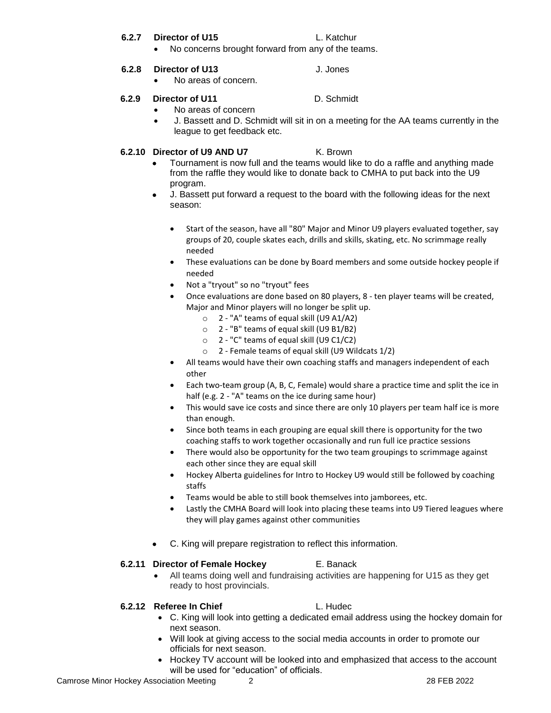### **6.2.7 Director of U15** L. Katchur

• No concerns brought forward from any of the teams.

# **6.2.8 Director of U13** J. Jones

• No areas of concern.

# **6.2.9 Director of U11** D. Schmidt

- No areas of concern
- J. Bassett and D. Schmidt will sit in on a meeting for the AA teams currently in the league to get feedback etc.

# **6.2.10 Director of U9 AND U7** K. Brown

- Tournament is now full and the teams would like to do a raffle and anything made from the raffle they would like to donate back to CMHA to put back into the U9 program.
- J. Bassett put forward a request to the board with the following ideas for the next season:
	- Start of the season, have all "80" Major and Minor U9 players evaluated together, say groups of 20, couple skates each, drills and skills, skating, etc. No scrimmage really needed
	- These evaluations can be done by Board members and some outside hockey people if needed
	- Not a "tryout" so no "tryout" fees
	- Once evaluations are done based on 80 players, 8 ten player teams will be created, Major and Minor players will no longer be split up.
		- o 2 "A" teams of equal skill (U9 A1/A2)
		- o 2 "B" teams of equal skill (U9 B1/B2)
		- $\circ$  2 "C" teams of equal skill (U9 C1/C2)
		- o 2 Female teams of equal skill (U9 Wildcats 1/2)
	- All teams would have their own coaching staffs and managers independent of each other
	- Each two-team group (A, B, C, Female) would share a practice time and split the ice in half (e.g. 2 - "A" teams on the ice during same hour)
	- This would save ice costs and since there are only 10 players per team half ice is more than enough.
	- Since both teams in each grouping are equal skill there is opportunity for the two coaching staffs to work together occasionally and run full ice practice sessions
	- There would also be opportunity for the two team groupings to scrimmage against each other since they are equal skill
	- Hockey Alberta guidelines for Intro to Hockey U9 would still be followed by coaching staffs
	- Teams would be able to still book themselves into jamborees, etc.
	- Lastly the CMHA Board will look into placing these teams into U9 Tiered leagues where they will play games against other communities
- C. King will prepare registration to reflect this information.

# **6.2.11 Director of Female Hockey** E. Banack

• All teams doing well and fundraising activities are happening for U15 as they get ready to host provincials.

# **6.2.12 Referee In Chief** L. Hudec

- C. King will look into getting a dedicated email address using the hockey domain for next season.
- Will look at giving access to the social media accounts in order to promote our officials for next season.
- Hockey TV account will be looked into and emphasized that access to the account will be used for "education" of officials.